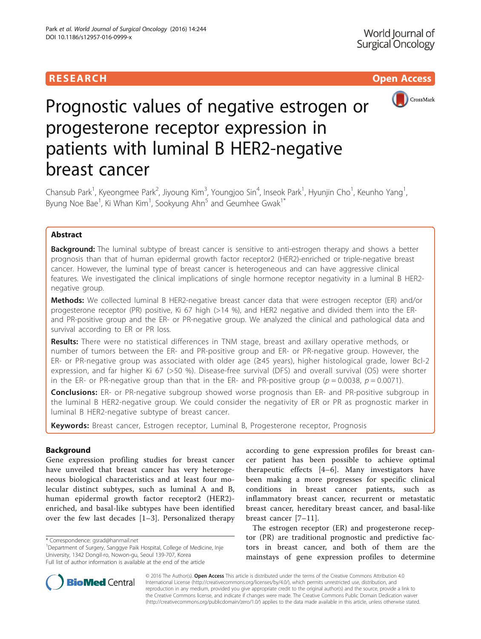# RESEARCH **RESEARCH CHOOSE ACCESS**



# Prognostic values of negative estrogen or progesterone receptor expression in patients with luminal B HER2-negative breast cancer

Chansub Park<sup>1</sup>, Kyeongmee Park<sup>2</sup>, Jiyoung Kim<sup>3</sup>, Youngjoo Sin<sup>4</sup>, Inseok Park<sup>1</sup>, Hyunjin Cho<sup>1</sup>, Keunho Yang<sup>1</sup> , Byung Noe Bae<sup>1</sup>, Ki Whan Kim<sup>1</sup>, Sookyung Ahn<sup>5</sup> and Geumhee Gwak<sup>1\*</sup>

# Abstract

**Background:** The luminal subtype of breast cancer is sensitive to anti-estrogen therapy and shows a better prognosis than that of human epidermal growth factor receptor2 (HER2)-enriched or triple-negative breast cancer. However, the luminal type of breast cancer is heterogeneous and can have aggressive clinical features. We investigated the clinical implications of single hormone receptor negativity in a luminal B HER2 negative group.

Methods: We collected luminal B HER2-negative breast cancer data that were estrogen receptor (ER) and/or progesterone receptor (PR) positive, Ki 67 high (>14 %), and HER2 negative and divided them into the ERand PR-positive group and the ER- or PR-negative group. We analyzed the clinical and pathological data and survival according to ER or PR loss.

Results: There were no statistical differences in TNM stage, breast and axillary operative methods, or number of tumors between the ER- and PR-positive group and ER- or PR-negative group. However, the ER- or PR-negative group was associated with older age (≥45 years), higher histological grade, lower Bcl-2 expression, and far higher Ki 67 (>50 %). Disease-free survival (DFS) and overall survival (OS) were shorter in the ER- or PR-negative group than that in the ER- and PR-positive group ( $p = 0.0038$ ,  $p = 0.0071$ ).

**Conclusions:** ER- or PR-negative subgroup showed worse prognosis than ER- and PR-positive subgroup in the luminal B HER2-negative group. We could consider the negativity of ER or PR as prognostic marker in luminal B HER2-negative subtype of breast cancer.

Keywords: Breast cancer, Estrogen receptor, Luminal B, Progesterone receptor, Prognosis

# Background

Gene expression profiling studies for breast cancer have unveiled that breast cancer has very heterogeneous biological characteristics and at least four molecular distinct subtypes, such as luminal A and B, human epidermal growth factor receptor2 (HER2) enriched, and basal-like subtypes have been identified over the few last decades [[1](#page-7-0)–[3\]](#page-7-0). Personalized therapy

\* Correspondence: [gsrad@hanmail.net](mailto:gsrad@hanmail.net) <sup>1</sup>

according to gene expression profiles for breast cancer patient has been possible to achieve optimal therapeutic effects [[4](#page-7-0)–[6](#page-7-0)]. Many investigators have been making a more progresses for specific clinical conditions in breast cancer patients, such as inflammatory breast cancer, recurrent or metastatic breast cancer, hereditary breast cancer, and basal-like breast cancer [[7](#page-7-0)–[11\]](#page-7-0).

The estrogen receptor (ER) and progesterone receptor (PR) are traditional prognostic and predictive factors in breast cancer, and both of them are the mainstays of gene expression profiles to determine



© 2016 The Author(s). Open Access This article is distributed under the terms of the Creative Commons Attribution 4.0 International License [\(http://creativecommons.org/licenses/by/4.0/](http://creativecommons.org/licenses/by/4.0/)), which permits unrestricted use, distribution, and reproduction in any medium, provided you give appropriate credit to the original author(s) and the source, provide a link to the Creative Commons license, and indicate if changes were made. The Creative Commons Public Domain Dedication waiver [\(http://creativecommons.org/publicdomain/zero/1.0/](http://creativecommons.org/publicdomain/zero/1.0/)) applies to the data made available in this article, unless otherwise stated.

<sup>&</sup>lt;sup>1</sup>Department of Surgery, Sanggye Paik Hospital, College of Medicine, Inje University, 1342 Dongil-ro, Nowon-gu, Seoul 139-707, Korea Full list of author information is available at the end of the article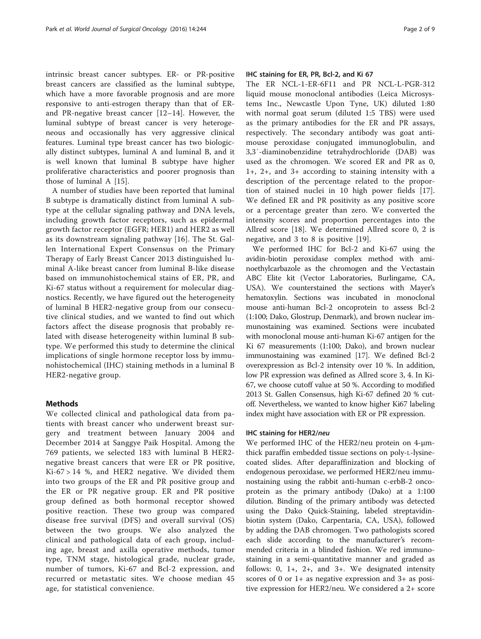intrinsic breast cancer subtypes. ER- or PR-positive breast cancers are classified as the luminal subtype, which have a more favorable prognosis and are more responsive to anti-estrogen therapy than that of ERand PR-negative breast cancer [\[12](#page-7-0)–[14](#page-7-0)]. However, the luminal subtype of breast cancer is very heterogeneous and occasionally has very aggressive clinical features. Luminal type breast cancer has two biologically distinct subtypes, luminal A and luminal B, and it is well known that luminal B subtype have higher proliferative characteristics and poorer prognosis than those of luminal A [[15\]](#page-7-0).

A number of studies have been reported that luminal B subtype is dramatically distinct from luminal A subtype at the cellular signaling pathway and DNA levels, including growth factor receptors, such as epidermal growth factor receptor (EGFR; HER1) and HER2 as well as its downstream signaling pathway [\[16](#page-7-0)]. The St. Gallen International Expert Consensus on the Primary Therapy of Early Breast Cancer 2013 distinguished luminal A-like breast cancer from luminal B-like disease based on immunohistochemical stains of ER, PR, and Ki-67 status without a requirement for molecular diagnostics. Recently, we have figured out the heterogeneity of luminal B HER2-negative group from our consecutive clinical studies, and we wanted to find out which factors affect the disease prognosis that probably related with disease heterogeneity within luminal B subtype. We performed this study to determine the clinical implications of single hormone receptor loss by immunohistochemical (IHC) staining methods in a luminal B HER2-negative group.

#### Methods

We collected clinical and pathological data from patients with breast cancer who underwent breast surgery and treatment between January 2004 and December 2014 at Sanggye Paik Hospital. Among the 769 patients, we selected 183 with luminal B HER2 negative breast cancers that were ER or PR positive,  $Ki-67 > 14 %$ , and HER2 negative. We divided them into two groups of the ER and PR positive group and the ER or PR negative group. ER and PR positive group defined as both hormonal receptor showed positive reaction. These two group was compared disease free survival (DFS) and overall survival (OS) between the two groups. We also analyzed the clinical and pathological data of each group, including age, breast and axilla operative methods, tumor type, TNM stage, histological grade, nuclear grade, number of tumors, Ki-67 and Bcl-2 expression, and recurred or metastatic sites. We choose median 45 age, for statistical convenience.

# IHC staining for ER, PR, Bcl-2, and Ki 67

The ER NCL-1-ER-6F11 and PR NCL-L-PGR-312 liquid mouse monoclonal antibodies (Leica Microsystems Inc., Newcastle Upon Tyne, UK) diluted 1:80 with normal goat serum (diluted 1:5 TBS) were used as the primary antibodies for the ER and PR assays, respectively. The secondary antibody was goat antimouse peroxidase conjugated immunoglobulin, and 3,3′-diaminobenzidine tetrahydrochloride (DAB) was used as the chromogen. We scored ER and PR as 0, 1+, 2+, and 3+ according to staining intensity with a description of the percentage related to the proportion of stained nuclei in 10 high power fields [\[17](#page-7-0)]. We defined ER and PR positivity as any positive score or a percentage greater than zero. We converted the intensity scores and proportion percentages into the Allred score [\[18](#page-7-0)]. We determined Allred score 0, 2 is negative, and 3 to 8 is positive [\[19](#page-7-0)].

We performed IHC for Bcl-2 and Ki-67 using the avidin-biotin peroxidase complex method with aminoethylcarbazole as the chromogen and the Vectastain ABC Elite kit (Vector Laboratories, Burlingame, CA, USA). We counterstained the sections with Mayer's hematoxylin. Sections was incubated in monoclonal mouse anti-human Bcl-2 oncoprotein to assess Bcl-2 (1:100; Dako, Glostrup, Denmark), and brown nuclear immunostaining was examined. Sections were incubated with monoclonal mouse anti-human Ki-67 antigen for the Ki 67 measurements (1:100; Dako), and brown nuclear immunostaining was examined [\[17\]](#page-7-0). We defined Bcl-2 overexpression as Bcl-2 intensity over 10 %. In addition, low PR expression was defined as Allred score 3, 4. In Ki-67, we choose cutoff value at 50 %. According to modified 2013 St. Gallen Consensus, high Ki-67 defined 20 % cutoff. Nevertheless, we wanted to know higher Ki67 labeling index might have association with ER or PR expression.

# IHC staining for HER2/neu

We performed IHC of the HER2/neu protein on 4-μmthick paraffin embedded tissue sections on poly-L-lysinecoated slides. After deparaffinization and blocking of endogenous peroxidase, we performed HER2/neu immunostaining using the rabbit anti-human c-erbB-2 oncoprotein as the primary antibody (Dako) at a 1:100 dilution. Binding of the primary antibody was detected using the Dako Quick-Staining, labeled streptavidinbiotin system (Dako, Carpentaria, CA, USA), followed by adding the DAB chromogen. Two pathologists scored each slide according to the manufacturer's recommended criteria in a blinded fashion. We red immunostaining in a semi-quantitative manner and graded as follows: 0, 1+, 2+, and 3+. We designated intensity scores of 0 or 1+ as negative expression and 3+ as positive expression for HER2/neu. We considered a 2+ score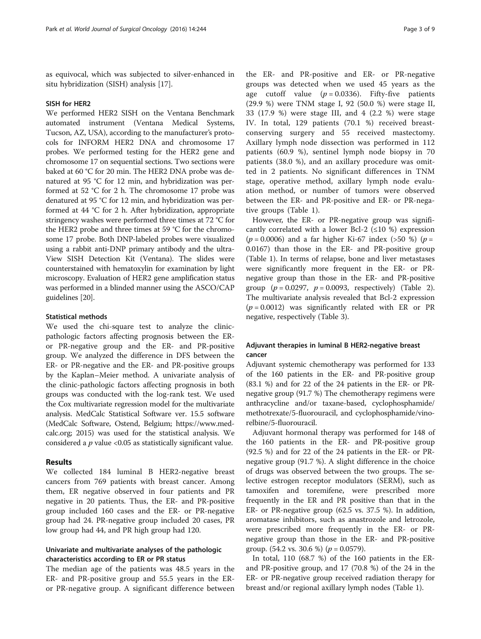as equivocal, which was subjected to silver-enhanced in situ hybridization (SISH) analysis [[17\]](#page-7-0).

#### SISH for HER2

We performed HER2 SISH on the Ventana Benchmark automated instrument (Ventana Medical Systems, Tucson, AZ, USA), according to the manufacturer's protocols for INFORM HER2 DNA and chromosome 17 probes. We performed testing for the HER2 gene and chromosome 17 on sequential sections. Two sections were baked at 60 °C for 20 min. The HER2 DNA probe was denatured at 95 °C for 12 min, and hybridization was performed at 52 °C for 2 h. The chromosome 17 probe was denatured at 95 °C for 12 min, and hybridization was performed at 44 °C for 2 h. After hybridization, appropriate stringency washes were performed three times at 72 °C for the HER2 probe and three times at 59 °C for the chromosome 17 probe. Both DNP-labeled probes were visualized using a rabbit anti-DNP primary antibody and the ultra-View SISH Detection Kit (Ventana). The slides were counterstained with hematoxylin for examination by light microscopy. Evaluation of HER2 gene amplification status was performed in a blinded manner using the ASCO/CAP guidelines [\[20](#page-7-0)].

#### Statistical methods

We used the chi-square test to analyze the clinicpathologic factors affecting prognosis between the ERor PR-negative group and the ER- and PR-positive group. We analyzed the difference in DFS between the ER- or PR-negative and the ER- and PR-positive groups by the Kaplan–Meier method. A univariate analysis of the clinic-pathologic factors affecting prognosis in both groups was conducted with the log-rank test. We used the Cox multivariate regression model for the multivariate analysis. MedCalc Statistical Software ver. 15.5 software (MedCalc Software, Ostend, Belgium; [https://www.med](https://www.medcalc.org/)[calc.org](https://www.medcalc.org/); 2015) was used for the statistical analysis. We considered a  $p$  value <0.05 as statistically significant value.

### Results

We collected 184 luminal B HER2-negative breast cancers from 769 patients with breast cancer. Among them, ER negative observed in four patients and PR negative in 20 patients. Thus, the ER- and PR-positive group included 160 cases and the ER- or PR-negative group had 24. PR-negative group included 20 cases, PR low group had 44, and PR high group had 120.

# Univariate and multivariate analyses of the pathologic characteristics according to ER or PR status

The median age of the patients was 48.5 years in the ER- and PR-positive group and 55.5 years in the ERor PR-negative group. A significant difference between

the ER- and PR-positive and ER- or PR-negative groups was detected when we used 45 years as the age cutoff value  $(p = 0.0336)$ . Fifty-five patients (29.9 %) were TNM stage I, 92 (50.0 %) were stage II, 33 (17.9 %) were stage III, and 4 (2.2 %) were stage IV. In total, 129 patients (70.1 %) received breastconserving surgery and 55 received mastectomy. Axillary lymph node dissection was performed in 112 patients (60.9 %), sentinel lymph node biopsy in 70 patients (38.0 %), and an axillary procedure was omitted in 2 patients. No significant differences in TNM stage, operative method, axillary lymph node evaluation method, or number of tumors were observed between the ER- and PR-positive and ER- or PR-negative groups (Table [1\)](#page-3-0).

However, the ER- or PR-negative group was significantly correlated with a lower Bcl-2 ( $\leq$ 10 %) expression  $(p = 0.0006)$  and a far higher Ki-67 index (>50 %) (p = 0.0167) than those in the ER- and PR-positive group (Table [1](#page-3-0)). In terms of relapse, bone and liver metastases were significantly more frequent in the ER- or PRnegative group than those in the ER- and PR-positive group  $(p = 0.0297, p = 0.0093, respectively)$  (Table [2](#page-3-0)). The multivariate analysis revealed that Bcl-2 expression  $(p = 0.0012)$  was significantly related with ER or PR negative, respectively (Table [3](#page-4-0)).

# Adjuvant therapies in luminal B HER2-negative breast cancer

Adjuvant systemic chemotherapy was performed for 133 of the 160 patients in the ER- and PR-positive group (83.1 %) and for 22 of the 24 patients in the ER- or PRnegative group (91.7 %) The chemotherapy regimens were anthracycline and/or taxane-based, cyclophosphamide/ methotrexate/5-fluorouracil, and cyclophosphamide/vinorelbine/5-fluorouracil.

Adjuvant hormonal therapy was performed for 148 of the 160 patients in the ER- and PR-positive group (92.5 %) and for 22 of the 24 patients in the ER- or PRnegative group (91.7 %). A slight difference in the choice of drugs was observed between the two groups. The selective estrogen receptor modulators (SERM), such as tamoxifen and toremifene, were prescribed more frequently in the ER and PR positive than that in the ER- or PR-negative group (62.5 vs. 37.5 %). In addition, aromatase inhibitors, such as anastrozole and letrozole, were prescribed more frequently in the ER- or PRnegative group than those in the ER- and PR-positive group.  $(54.2 \text{ vs. } 30.6 \text{ %})$   $(p = 0.0579)$ .

In total, 110 (68.7 %) of the 160 patients in the ERand PR-positive group, and 17 (70.8 %) of the 24 in the ER- or PR-negative group received radiation therapy for breast and/or regional axillary lymph nodes (Table [1](#page-3-0)).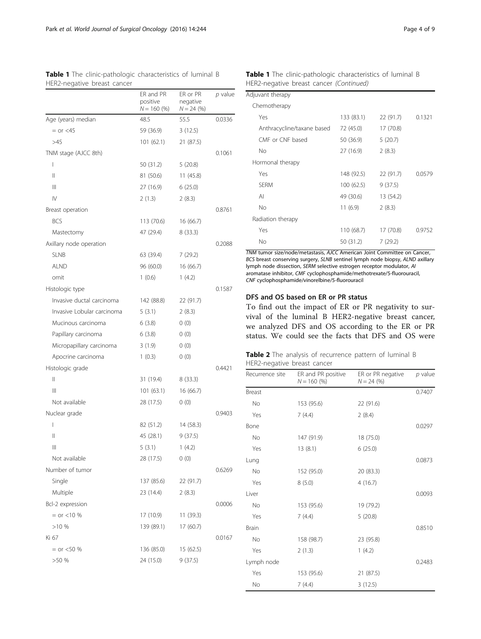|                            | ER and PR<br>positive<br>$N = 160 (%)$ | ER or PR<br>negative<br>$N = 24$ (%) | p value |
|----------------------------|----------------------------------------|--------------------------------------|---------|
| Age (years) median         | 48.5                                   | 55.5                                 | 0.0336  |
| $=$ or $<$ 45              | 59 (36.9)                              | 3(12.5)                              |         |
| >45                        | 101(62.1)                              | 21 (87.5)                            |         |
| TNM stage (AJCC 8th)       |                                        |                                      | 0.1061  |
| I                          | 50 (31.2)                              | 5(20.8)                              |         |
| $\mathsf{II}$              | 81 (50.6)                              | 11(45.8)                             |         |
| $\mathbb{H}$               | 27 (16.9)                              | 6(25.0)                              |         |
| IV                         | 2(1.3)                                 | 2(8.3)                               |         |
| Breast operation           |                                        |                                      | 0.8761  |
| <b>BCS</b>                 | 113 (70.6)                             | 16 (66.7)                            |         |
| Mastectomy                 | 47 (29.4)                              | 8(33.3)                              |         |
| Axillary node operation    |                                        |                                      | 0.2088  |
| <b>SLNB</b>                | 63 (39.4)                              | 7(29.2)                              |         |
| alnd                       | 96 (60.0)                              | 16 (66.7)                            |         |
| omit                       | 1(0.6)                                 | 1(4.2)                               |         |
| Histologic type            |                                        |                                      | 0.1587  |
| Invasive ductal carcinoma  | 142 (88.8)                             | 22 (91.7)                            |         |
| Invasive Lobular carcinoma | 5(3.1)                                 | 2(8.3)                               |         |
| Mucinous carcinoma         | 6(3.8)                                 | 0(0)                                 |         |
| Papillary carcinoma        | 6(3.8)                                 | 0(0)                                 |         |
| Micropapillary carcinoma   | 3(1.9)                                 | 0(0)                                 |         |
| Apocrine carcinoma         | 1(0.3)                                 | 0(0)                                 |         |
| Histologic grade           |                                        |                                      | 0.4421  |
| $\mathsf{II}$              | 31 (19.4)                              | 8(33.3)                              |         |
| Ш                          | 101(63.1)                              | 16 (66.7)                            |         |
| Not available              | 28 (17.5)                              | 0(0)                                 |         |
| Nuclear grade              |                                        |                                      | 0.9403  |
| I                          | 82 (51.2)                              | 14 (58.3)                            |         |
| $\mathsf{II}$              | 45 (28.1)                              | 9(37.5)                              |         |
| $\mid \mid \mid$           | 5(3.1)                                 | 1(4.2)                               |         |
| Not available              | 28 (17.5)                              | 0(0)                                 |         |
| Number of tumor            |                                        |                                      | 0.6269  |
| Single                     | 137 (85.6)                             | 22 (91.7)                            |         |
| Multiple                   | 23 (14.4)                              | 2(8.3)                               |         |
| Bcl-2 expression           |                                        |                                      | 0.0006  |
| $=$ or $<$ 10 %            | 17 (10.9)                              | 11 (39.3)                            |         |
| >10%                       | 139 (89.1)                             | 17 (60.7)                            |         |
| Ki 67                      |                                        |                                      | 0.0167  |
| $=$ or $<$ 50 %            | 136 (85.0)                             | 15 (62.5)                            |         |
| >50%                       | 24 (15.0)                              | 9(37.5)                              |         |
|                            |                                        |                                      |         |

<span id="page-3-0"></span>

| <b>Table 1</b> The clinic-pathologic characteristics of luminal B |  |  |
|-------------------------------------------------------------------|--|--|
| HER2-negative breast cancer                                       |  |  |

# Table 1 The clinic-pathologic characteristics of luminal B HER2-negative breast cancer (Continued)

| Adjuvant therapy           |            |           |        |
|----------------------------|------------|-----------|--------|
| Chemotherapy               |            |           |        |
| Yes                        | 133 (83.1) | 22 (91.7) | 0.1321 |
| Anthracycline/taxane based | 72 (45.0)  | 17 (70.8) |        |
| CME or CNE based           | 50 (36.9)  | 5(20.7)   |        |
| No                         | 27 (16.9)  | 2(8.3)    |        |
| Hormonal therapy           |            |           |        |
| Yes                        | 148 (92.5) | 22 (91.7) | 0.0579 |
| <b>SFRM</b>                | 100 (62.5) | 9(37.5)   |        |
| $\mathsf{A}$               | 49 (30.6)  | 13 (54.2) |        |
| No                         | 11(6.9)    | 2(8.3)    |        |
| Radiation therapy          |            |           |        |
| Yes                        | 110 (68.7) | 17 (70.8) | 0.9752 |
| No                         | 50 (31.2)  | 7(29.2)   |        |
|                            |            |           |        |

TNM tumor size/node/metastasis, AJCC American Joint Committee on Cancer, BCS breast conserving surgery, SLNB sentinel lymph node biopsy, ALND axillary lymph node dissection, SERM selective estrogen receptor modulator, AI aromatase inhibitor, CMF cyclophosphamide/methotrexate/5-fluorouracil, CNF cyclophosphamide/vinorelbine/5-fluorouracil

# DFS and OS based on ER or PR status

To find out the impact of ER or PR negativity to survival of the luminal B HER2-negative breast cancer, we analyzed DFS and OS according to the ER or PR status. We could see the facts that DFS and OS were

| Table 2 The analysis of recurrence pattern of luminal B |  |  |  |  |
|---------------------------------------------------------|--|--|--|--|
| HER2-negative breast cancer                             |  |  |  |  |

| Recurrence site | ER and PR positive<br>$N = 160$ (%) | ER or PR negative<br>$N = 24$ (%) | $p$ value |
|-----------------|-------------------------------------|-----------------------------------|-----------|
| Breast          |                                     |                                   | 0.7407    |
| No              | 153 (95.6)                          | 22 (91.6)                         |           |
| Yes             | 7(4.4)                              | 2(8.4)                            |           |
| Bone            |                                     |                                   | 0.0297    |
| No              | 147 (91.9)                          | 18 (75.0)                         |           |
| Yes             | 13(8.1)                             | 6(25.0)                           |           |
| Lung            |                                     |                                   | 0.0873    |
| No              | 152 (95.0)                          | 20 (83.3)                         |           |
| Yes             | 8(5.0)                              | 4(16.7)                           |           |
| Liver           |                                     |                                   | 0.0093    |
| No              | 153 (95.6)                          | 19 (79.2)                         |           |
| Yes             | 7(4.4)                              | 5(20.8)                           |           |
| <b>Brain</b>    |                                     |                                   | 0.8510    |
| No              | 158 (98.7)                          | 23 (95.8)                         |           |
| Yes             | 2(1.3)                              | 1(4.2)                            |           |
| Lymph node      |                                     |                                   | 0.2483    |
| Yes             | 153 (95.6)                          | 21 (87.5)                         |           |
| No              | 7(4.4)                              | 3(12.5)                           |           |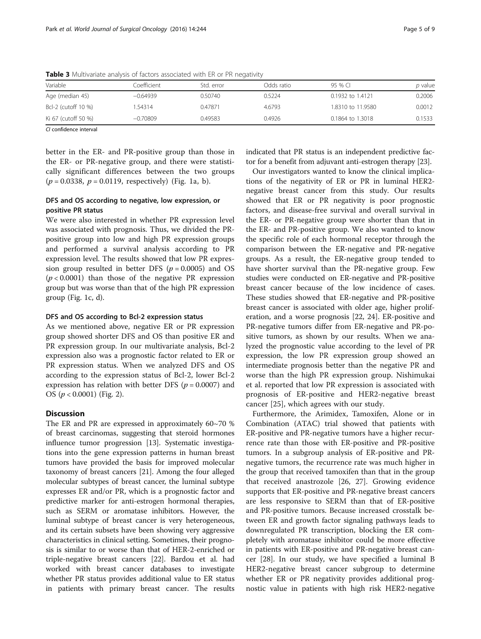| Variable            | Coefficient : | Std. error | Odds ratio | $95\%$ Cl         | <i>p</i> value |
|---------------------|---------------|------------|------------|-------------------|----------------|
| Age (median 45)     | $-0.64939$    | 0.50740    | 0.5224     | 0.1932 to 1.4121  | 0.2006         |
| Bcl-2 (cutoff 10 %) | 1.54314       | 0.47871    | 4.6793     | 1.8310 to 11.9580 | 0.0012         |
| Ki 67 (cutoff 50 %) | $-0.70809$    | 0.49583    | 0.4926     | 0.1864 to 1.3018  | 0.1533         |

<span id="page-4-0"></span>Table 3 Multivariate analysis of factors associated with ER or PR negativity

CI confidence interval

better in the ER- and PR-positive group than those in the ER- or PR-negative group, and there were statistically significant differences between the two groups  $(p = 0.0338, p = 0.0119,$  respectively) (Fig. [1a, b](#page-5-0)).

# DFS and OS according to negative, low expression, or positive PR status

We were also interested in whether PR expression level was associated with prognosis. Thus, we divided the PRpositive group into low and high PR expression groups and performed a survival analysis according to PR expression level. The results showed that low PR expression group resulted in better DFS ( $p = 0.0005$ ) and OS  $(p < 0.0001)$  than those of the negative PR expression group but was worse than that of the high PR expression group (Fig. 1c,  $d$ ).

#### DFS and OS according to Bcl-2 expression status

As we mentioned above, negative ER or PR expression group showed shorter DFS and OS than positive ER and PR expression group. In our multivariate analysis, Bcl-2 expression also was a prognostic factor related to ER or PR expression status. When we analyzed DFS and OS according to the expression status of Bcl-2, lower Bcl-2 expression has relation with better DFS ( $p = 0.0007$ ) and OS  $(p < 0.0001)$  (Fig. [2](#page-6-0)).

# **Discussion**

The ER and PR are expressed in approximately 60~70 % of breast carcinomas, suggesting that steroid hormones influence tumor progression [\[13\]](#page-7-0). Systematic investigations into the gene expression patterns in human breast tumors have provided the basis for improved molecular taxonomy of breast cancers [\[21\]](#page-7-0). Among the four alleged molecular subtypes of breast cancer, the luminal subtype expresses ER and/or PR, which is a prognostic factor and predictive marker for anti-estrogen hormonal therapies, such as SERM or aromatase inhibitors. However, the luminal subtype of breast cancer is very heterogeneous, and its certain subsets have been showing very aggressive characteristics in clinical setting. Sometimes, their prognosis is similar to or worse than that of HER-2-enriched or triple-negative breast cancers [\[22\]](#page-7-0). Bardou et al. had worked with breast cancer databases to investigate whether PR status provides additional value to ER status in patients with primary breast cancer. The results indicated that PR status is an independent predictive factor for a benefit from adjuvant anti-estrogen therapy [[23](#page-7-0)].

Our investigators wanted to know the clinical implications of the negativity of ER or PR in luminal HER2 negative breast cancer from this study. Our results showed that ER or PR negativity is poor prognostic factors, and disease-free survival and overall survival in the ER- or PR-negative group were shorter than that in the ER- and PR-positive group. We also wanted to know the specific role of each hormonal receptor through the comparison between the ER-negative and PR-negative groups. As a result, the ER-negative group tended to have shorter survival than the PR-negative group. Few studies were conducted on ER-negative and PR-positive breast cancer because of the low incidence of cases. These studies showed that ER-negative and PR-positive breast cancer is associated with older age, higher proliferation, and a worse prognosis [\[22](#page-7-0), [24\]](#page-7-0). ER-positive and PR-negative tumors differ from ER-negative and PR-positive tumors, as shown by our results. When we analyzed the prognostic value according to the level of PR expression, the low PR expression group showed an intermediate prognosis better than the negative PR and worse than the high PR expression group. Nishimukai et al. reported that low PR expression is associated with prognosis of ER-positive and HER2-negative breast cancer [\[25](#page-7-0)], which agrees with our study.

Furthermore, the Arimidex, Tamoxifen, Alone or in Combination (ATAC) trial showed that patients with ER-positive and PR-negative tumors have a higher recurrence rate than those with ER-positive and PR-positive tumors. In a subgroup analysis of ER-positive and PRnegative tumors, the recurrence rate was much higher in the group that received tamoxifen than that in the group that received anastrozole [\[26](#page-7-0), [27](#page-7-0)]. Growing evidence supports that ER-positive and PR-negative breast cancers are less responsive to SERM than that of ER-positive and PR-positive tumors. Because increased crosstalk between ER and growth factor signaling pathways leads to downregulated PR transcription, blocking the ER completely with aromatase inhibitor could be more effective in patients with ER-positive and PR-negative breast cancer [\[28](#page-7-0)]. In our study, we have specified a luminal B HER2-negative breast cancer subgroup to determine whether ER or PR negativity provides additional prognostic value in patients with high risk HER2-negative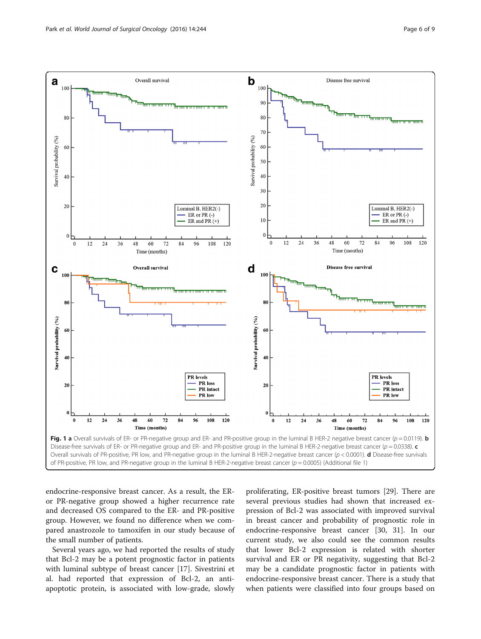<span id="page-5-0"></span>

endocrine-responsive breast cancer. As a result, the ERor PR-negative group showed a higher recurrence rate and decreased OS compared to the ER- and PR-positive group. However, we found no difference when we compared anastrozole to tamoxifen in our study because of the small number of patients.

Several years ago, we had reported the results of study that Bcl-2 may be a potent prognostic factor in patients with luminal subtype of breast cancer [[17](#page-7-0)]. Sivestrini et al. had reported that expression of Bcl-2, an antiapoptotic protein, is associated with low-grade, slowly

proliferating, ER-positive breast tumors [\[29\]](#page-8-0). There are several previous studies had shown that increased expression of Bcl-2 was associated with improved survival in breast cancer and probability of prognostic role in endocrine-responsive breast cancer [\[30](#page-8-0), [31](#page-8-0)]. In our current study, we also could see the common results that lower Bcl-2 expression is related with shorter survival and ER or PR negativity, suggesting that Bcl-2 may be a candidate prognostic factor in patients with endocrine-responsive breast cancer. There is a study that when patients were classified into four groups based on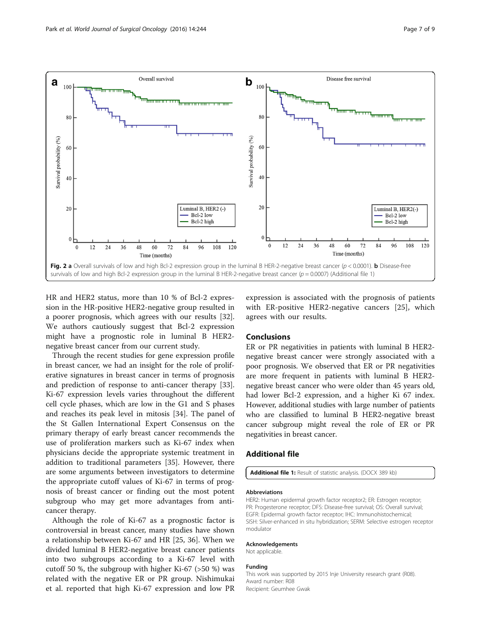<span id="page-6-0"></span>

HR and HER2 status, more than 10 % of Bcl-2 expression in the HR-positive HER2-negative group resulted in a poorer prognosis, which agrees with our results [\[32](#page-8-0)]. We authors cautiously suggest that Bcl-2 expression might have a prognostic role in luminal B HER2 negative breast cancer from our current study.

Through the recent studies for gene expression profile in breast cancer, we had an insight for the role of proliferative signatures in breast cancer in terms of prognosis and prediction of response to anti-cancer therapy [\[33](#page-8-0)]. Ki-67 expression levels varies throughout the different cell cycle phases, which are low in the G1 and S phases and reaches its peak level in mitosis [\[34](#page-8-0)]. The panel of the St Gallen International Expert Consensus on the primary therapy of early breast cancer recommends the use of proliferation markers such as Ki-67 index when physicians decide the appropriate systemic treatment in addition to traditional parameters [\[35](#page-8-0)]. However, there are some arguments between investigators to determine the appropriate cutoff values of Ki-67 in terms of prognosis of breast cancer or finding out the most potent subgroup who may get more advantages from anticancer therapy.

Although the role of Ki-67 as a prognostic factor is controversial in breast cancer, many studies have shown a relationship between Ki-67 and HR [\[25,](#page-7-0) [36](#page-8-0)]. When we divided luminal B HER2-negative breast cancer patients into two subgroups according to a Ki-67 level with cutoff 50 %, the subgroup with higher Ki-67 (>50 %) was related with the negative ER or PR group. Nishimukai et al. reported that high Ki-67 expression and low PR expression is associated with the prognosis of patients with ER-positive HER2-negative cancers [[25](#page-7-0)], which agrees with our results.

# Conclusions

ER or PR negativities in patients with luminal B HER2 negative breast cancer were strongly associated with a poor prognosis. We observed that ER or PR negativities are more frequent in patients with luminal B HER2 negative breast cancer who were older than 45 years old, had lower Bcl-2 expression, and a higher Ki 67 index. However, additional studies with large number of patients who are classified to luminal B HER2-negative breast cancer subgroup might reveal the role of ER or PR negativities in breast cancer.

# Additional file

[Additional file 1:](dx.doi.org/10.1186/s12957-016-0999-x) Result of statistic analysis. (DOCX 389 kb)

#### Abbreviations

HER2: Human epidermal growth factor receptor2; ER: Estrogen receptor; PR: Progesterone receptor; DFS: Disease-free survival; OS: Overall survival; EGFR: Epidermal growth factor receptor; IHC: Immunohistochemical; SISH: Silver-enhanced in situ hybridization; SERM: Selective estrogen receptor modulator

#### Acknowledgements

Not applicable.

#### Funding

This work was supported by 2015 Inje University research grant (R08). Award number: R08 Recipient: Geumhee Gwak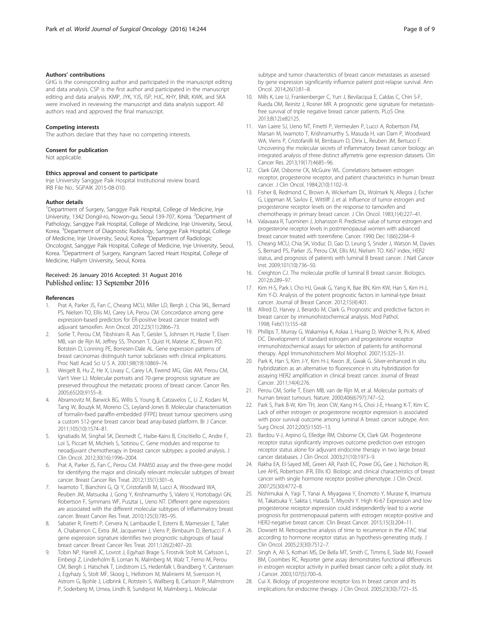#### <span id="page-7-0"></span>Authors' contributions

GHG is the corresponding author and participated in the manuscript editing and data analysis. CSP is the first author and participated in the manuscript editing and data analysis. KMP, JYK, YJS, ISP, HJC, KHY, BNB, KWK, and SKA were involved in reviewing the manuscript and data analysis support. All authors read and approved the final manuscript.

#### Competing interests

The authors declare that they have no competing interests.

#### Consent for publication

Not applicable.

#### Ethics approval and consent to participate

Inje University Sanggye Paik Hospital Institutional review board. IRB File No.: SGPAIK 2015-08-010.

#### Author details

<sup>1</sup>Department of Surgery, Sanggye Paik Hospital, College of Medicine, Inje University, 1342 Dongil-ro, Nowon-gu, Seoul 139-707, Korea. <sup>2</sup>Department of Pathology, Sanggye Paik Hospital, College of Medicine, Inje University, Seoul, Korea. <sup>3</sup> Department of Diagnostic Radiology, Sanggye Paik Hospital, College of Medicine, Inje University, Seoul, Korea. <sup>4</sup>Department of Radiologic Oncologist, Sanggye Paik Hospital, College of Medicine, Inje University, Seoul, Korea. <sup>5</sup> Department of Surgery, Kangnam Sacred Heart Hospital, College of Medicine, Hallym University, Seoul, Korea.

#### Received: 26 January 2016 Accepted: 31 August 2016 Published online: 13 September 2016

#### References

- 1. Prat A, Parker JS, Fan C, Cheang MCU, Miller LD, Bergh J, Chia SKL, Bernard PS, Nielsen TO, Ellis MJ, Carey LA, Perou CM. Concordance among gene expression-based predictors for ER-positive breast cancer treated with adjuvant tamoxifen. Ann Oncol. 2012;23(11):2866–73.
- 2. Sorlie T, Perou CM, Tibshirani R, Aas T, Geisler S, Johnsen H, Hastie T, Eisen MB, van de Rijn M, Jeffrey SS, Thorsen T, Quist H, Matese JC, Brown PO, Botstein D, Lonning PE, Borresen-Dale AL. Gene expression patterns of breast carcinomas distinguish tumor subclasses with clinical implications. Proc Natl Acad Sci U S A. 2001;98(19):10869–74.
- 3. Weigelt B, Hu Z, He X, Livasy C, Carey LA, Ewend MG, Glas AM, Perou CM, Van't Veer LJ. Molecular portraits and 70-gene prognosis signature are preserved throughout the metastatic process of breast cancer. Cancer Res. 2005;65(20):9155–8.
- 4. Abramovitz M, Barwick BG, Willis S, Young B, Catzavelos C, Li Z, Kodani M, Tang W, Bouzyk M, Moreno CS, Leyland-Jones B. Molecular characterisation of formalin-fixed paraffin-embedded (FFPE) breast tumour specimens using a custom 512-gene breast cancer bead array-based platform. Br J Cancer. 2011;105(10):1574–81.
- 5. Ignatiadis M, Singhal SK, Desmedt C, Haibe-Kains B, Criscitiello C, Andre F, Loi S, Piccart M, Michiels S, Sotiriou C. Gene modules and response to neoadjuvant chemotherapy in breast cancer subtypes: a pooled analysis. J Clin Oncol. 2012;30(16):1996–2004.
- 6. Prat A, Parker JS, Fan C, Perou CM. PAM50 assay and the three-gene model for identifying the major and clinically relevant molecular subtypes of breast cancer. Breast Cancer Res Treat. 2012;135(1):301–6.
- 7. Iwamoto T, Bianchini G, Qi Y, Cristofanilli M, Lucci A, Woodward WA, Reuben JM, Matsuoka J, Gong Y, Krishnamurthy S, Valero V, Hortobagyi GN, Robertson F, Symmans WF, Pusztai L, Ueno NT. Different gene expressions are associated with the different molecular subtypes of inflammatory breast cancer. Breast Cancer Res Treat. 2010;125(3):785–95.
- Sabatier R, Finetti P, Cervera N, Lambaudie E, Esterni B, Mamessier E, Tallet A, Chabannon C, Extra JM, Jacquemier J, Viens P, Birnbaum D, Bertucci F. A gene expression signature identifies two prognostic subgroups of basal breast cancer. Breast Cancer Res Treat. 2011;126(2):407–20.
- 9. Tobin NP, Harrell JC, Lovrot J, Egyhazi Brage S, Frostvik Stolt M, Carlsson L, Einbeigi Z, Linderholm B, Loman N, Malmberg M, Walz T, Ferno M, Perou CM, Bergh J, Hatschek T, Lindstrom LS, Hedenfalk I, Brandberg Y, Carstensen J, Egyhazy S, Stolt MF, Skoog L, Hellstrom M, Maliniemi M, Svensson H, Astrom G, Bjohle J, Lidbrink E, Rotstein S, Wallberg B, Carlsson P, Malmstrom P, Soderberg M, Umea, Lindh B, Sundqvist M, Malmberg L. Molecular

subtype and tumor characteristics of breast cancer metastases as assessed by gene expression significantly influence patient post-relapse survival. Ann Oncol. 2014;26(1):81–8.

- 10. Mills K, Lee U, Frankenberger C, Yun J, Bevilacqua E, Caldas C, Chin S-F, Rueda OM, Reinitz J, Rosner MR. A prognostic gene signature for metastasisfree survival of triple negative breast cancer patients. PLoS One. 2013;8(12):e82125.
- 11. Van Laere SJ, Ueno NT, Finetti P, Vermeulen P, Lucci A, Robertson FM, Marsan M, Iwamoto T, Krishnamurthy S, Masuda H, van Dam P, Woodward WA, Viens P, Cristofanilli M, Birnbaum D, Dirix L, Reuben JM, Bertucci F. Uncovering the molecular secrets of inflammatory breast cancer biology: an integrated analysis of three distinct affymetrix gene expression datasets. Clin Cancer Res. 2013;19(17):4685–96.
- 12. Clark GM, Osborne CK, McGuire WL. Correlations between estrogen receptor, progesterone receptor, and patient characteristics in human breast cancer. J Clin Oncol. 1984;2(10):1102–9.
- 13. Fisher B, Redmond C, Brown A, Wickerham DL, Wolmark N, Allegra J, Escher G, Lippman M, Savlov E, Wittliff J, et al. Influence of tumor estrogen and progesterone receptor levels on the response to tamoxifen and chemotherapy in primary breast cancer. J Clin Oncol. 1983;1(4):227–41.
- 14. Valavaara R, Tuominen J, Johansson R. Predictive value of tumor estrogen and progesterone receptor levels in postmenopausal women with advanced breast cancer treated with toremifene. Cancer. 1990; Dec 1(66):2264–9
- 15. Cheang MCU, Chia SK, Voduc D, Gao D, Leung S, Snider J, Watson M, Davies S, Bernard PS, Parker JS, Perou CM, Ellis MJ, Nielsen TO. Ki67 index, HER2 status, and prognosis of patients with luminal B breast cancer. J Natl Cancer Inst. 2009;101(10):736–50.
- 16. Creighton CJ. The molecular profile of luminal B breast cancer. Biologics. 2012;6:289–97.
- 17. Kim H-S, Park I, Cho HJ, Gwak G, Yang K, Bae BN, Kim KW, Han S, Kim H-J, Kim Y-D. Analysis of the potent prognostic factors in luminal-type breast cancer. Journal of Breast Cancer. 2012;15(4):401.
- 18. Allred D, Harvey J, Berardo M, Clark G. Prognostic and predictive factors in breast cancer by immunohistochemical analysis. Mod Pathol. 1998; Feb(11):155–68
- 19. Phillips T, Murray G, Wakamiya K, Askaa J, Huang D, Welcher R, Pii K, Allred DC. Development of standard estrogen and progesterone receptor immunohistochemical assays for selection of patients for antihormonal therapy. Appl Immunohistochem Mol Morphol. 2007;15:325–31.
- 20. Park K, Han S, Kim J-Y, Kim H-J, Kwon JE, Gwak G. Silver-enhanced in situ hybridization as an alternative to fluorescence in situ hybridization for assaying HER2 amplification in clinical breast cancer. Journal of Breast Cancer. 2011;14(4):276.
- 21. Perou CM, Sorlie T, Eisen MB, van de Rijn M, et al. Molecular portraits of human breast tumours. Nature. 2000;406(6797):747–52.
- 22. Park S, Park B-W, Kim TH, Jeon CW, Kang H-S, Choi J-E, Hwang K-T, Kim IC. Lack of either estrogen or progesterone receptor expression is associated with poor survival outcome among luminal A breast cancer subtype. Ann Surg Oncol. 2012;20(5):1505–13.
- 23. Bardou V-J, Arpino G, Elledge RM, Osborne CK, Clark GM. Progesterone receptor status significantly improves outcome prediction over estrogen receptor status alone for adjuvant endocrine therapy in two large breast cancer databases. J Clin Oncol. 2003;21(10):1973–9.
- 24. Rakha EA, El-Sayed ME, Green AR, Paish EC, Powe DG, Gee J, Nicholson RI, Lee AHS, Robertson JFR, Ellis IO. Biologic and clinical characteristics of breast cancer with single hormone receptor positive phenotype. J Clin Oncol. 2007;25(30):4772–8.
- 25. Nishimukai A, Yagi T, Yanai A, Miyagawa Y, Enomoto Y, Murase K, Imamura M, Takatsuka Y, Sakita I, Hatada T, Miyoshi Y. High Ki-67 Expression and low progesterone receptor expression could independently lead to a worse prognosis for postmenopausal patients with estrogen receptor-positive and HER2-negative breast cancer. Clin Breast Cancer. 2015;15(3):204–11.
- 26. Dowsett M. Retrospective analysis of time to recurrence in the ATAC trial according to hormone receptor status: an hypothesis-generating study. J Clin Oncol. 2005;23(30):7512–7.
- 27. Singh A, Ali S, Kothari MS, De Bella MT, Smith C, Timms E, Slade MJ, Foxwell BM, Coombes RC. Reporter gene assay demonstrates functional differences in estrogen receptor activity in purified breast cancer cells: a pilot study. Int J Cancer. 2003;107(5):700–6.
- 28. Cui X. Biology of progesterone receptor loss in breast cancer and its implications for endocrine therapy. J Clin Oncol. 2005;23(30):7721–35.